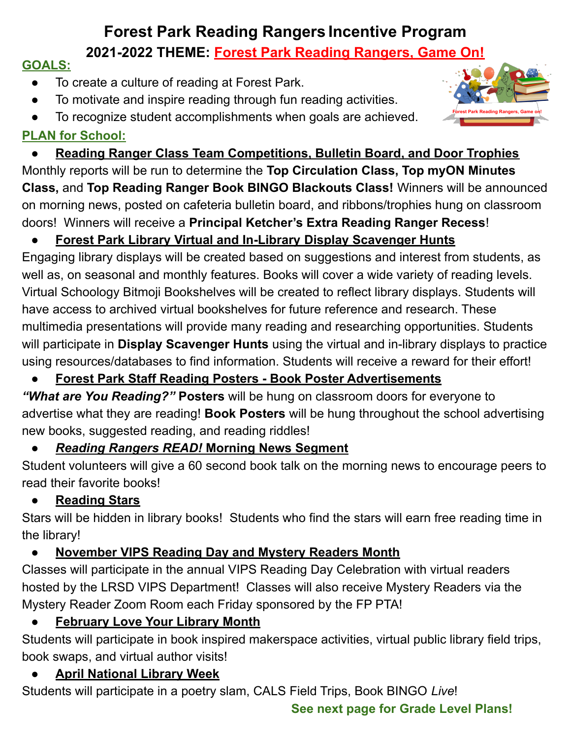# **Forest Park Reading Rangers Incentive Program**

# **2021-2022 THEME: Forest Park Reading Rangers, Game On!**

# **GOALS:**

- To create a culture of reading at Forest Park.
- To motivate and inspire reading through fun reading activities.
- To recognize student accomplishments when goals are achieved.

# **PLAN for School:**

**Reading Ranger Class Team Competitions, Bulletin Board, and Door Trophies** Monthly reports will be run to determine the **Top Circulation Class, Top myON Minutes Class,** and **Top Reading Ranger Book BINGO Blackouts Class!** Winners will be announced on morning news, posted on cafeteria bulletin board, and ribbons/trophies hung on classroom doors! Winners will receive a **Principal Ketcher's Extra Reading Ranger Recess**!

# **● Forest Park Library Virtual and In-Library Display Scavenger Hunts**

Engaging library displays will be created based on suggestions and interest from students, as well as, on seasonal and monthly features. Books will cover a wide variety of reading levels. Virtual Schoology Bitmoji Bookshelves will be created to reflect library displays. Students will have access to archived virtual bookshelves for future reference and research. These multimedia presentations will provide many reading and researching opportunities. Students will participate in **Display Scavenger Hunts** using the virtual and in-library displays to practice using resources/databases to find information. Students will receive a reward for their effort!

# **● Forest Park Staff Reading Posters - Book Poster Advertisements**

*"What are You Reading?"* **Posters** will be hung on classroom doors for everyone to advertise what they are reading! **Book Posters** will be hung throughout the school advertising new books, suggested reading, and reading riddles!

# **●** *Reading Rangers READ!* **Morning News Segment**

Student volunteers will give a 60 second book talk on the morning news to encourage peers to read their favorite books!

# **● Reading Stars**

Stars will be hidden in library books! Students who find the stars will earn free reading time in the library!

# **● November VIPS Reading Day and Mystery Readers Month**

Classes will participate in the annual VIPS Reading Day Celebration with virtual readers hosted by the LRSD VIPS Department! Classes will also receive Mystery Readers via the Mystery Reader Zoom Room each Friday sponsored by the FP PTA!

# **February Love Your Library Month**

Students will participate in book inspired makerspace activities, virtual public library field trips, book swaps, and virtual author visits!

# ● **April National Library Week**

Students will participate in a poetry slam, CALS Field Trips, Book BINGO *Live*!

### **See next page for Grade Level Plans!**